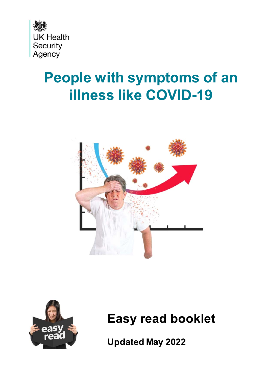

# **People with symptoms of an illness like COVID-19**





**Easy read booklet** 

**Updated May 2022**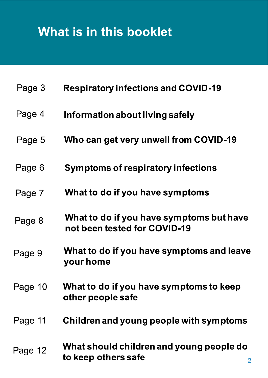# What is in this booklet

| Page 3  | <b>Respiratory infections and COVID-19</b>                               |
|---------|--------------------------------------------------------------------------|
| Page 4  | Information about living safely                                          |
| Page 5  | Who can get very unwell from COVID-19                                    |
| Page 6  | Symptoms of respiratory infections                                       |
| Page 7  | What to do if you have symptoms                                          |
| Page 8  | What to do if you have symptoms but have<br>not been tested for COVID-19 |
| Page 9  | What to do if you have symptoms and leave<br>your home                   |
| Page 10 | What to do if you have symptoms to keep<br>other people safe             |
| Page 11 | Children and young people with symptoms                                  |
| Page 12 | What should children and young people do<br>to keep others safe          |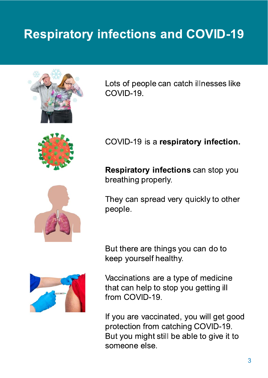## **Respiratory infections and COVID-19**



Lots of people can catch illnesses like COVID-19.



COVID-19 is a respiratory infection.

Respiratory infections can stop you breathing properly.

They can spread very quickly to other people.

But there are things you can do to keep yourself healthy.



Vaccinations are a type of medicine that can help to stop you getting ill from COVID-19

If you are vaccinated, you will get good protection from catching COVID-19. But you might still be able to give it to someone else.

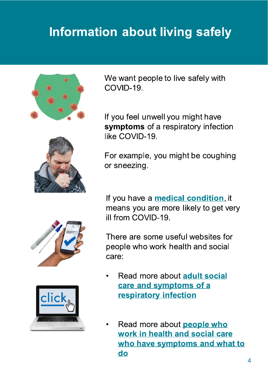## **Information about living safely**



We want people to live safely with COVID-19

If you feel unwell you might have symptoms of a respiratory infection like COVID-19.

For example, you might be coughing or sneezing.

If you have a **medical condition**, it means you are more likely to get very ill from COVID-19.

There are some useful websites for people who work health and social care:

- Read more about adult social  $\bullet$ care and symptoms of a respiratory infection
- Read more about **people who** work in health and social care who have symptoms and what to do



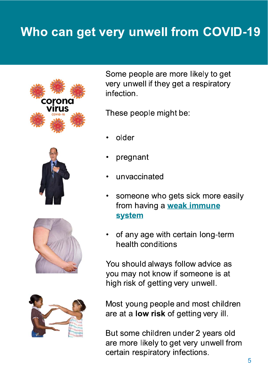### Who can get very unwell from COVID-19









Some people are more likely to get very unwell if they get a respiratory infection.

These people might be:

- older
- pregnant
- unvaccinated
- someone who gets sick more easily from having a **weak immune system**
- of any age with certain long-term health conditions

You should always follow advice as you may not know if someone is at high risk of getting very unwell.

Most young people and most children are at a **low risk** of getting very ill.

But some children under 2 years old are more likely to get very unwell from certain respiratory infections.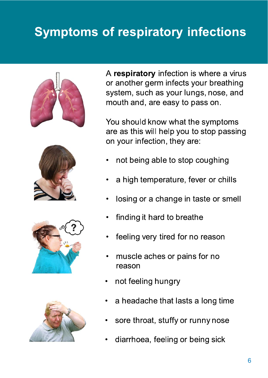## **Symptoms of respiratory infections**









A respiratory infection is where a virus or another germ infects your breathing system, such as your lungs, nose, and mouth and, are easy to pass on.

You should know what the symptoms are as this will help you to stop passing on your infection, they are:

- not being able to stop coughing
- a high temperature, fever or chills
- losing or a change in taste or smell
- finding it hard to breathe
- feeling very tired for no reason
- muscle aches or pains for no reason
- not feeling hungry
- a headache that lasts a long time
- sore throat, stuffy or runny nose
- diarrhoea, feeling or being sick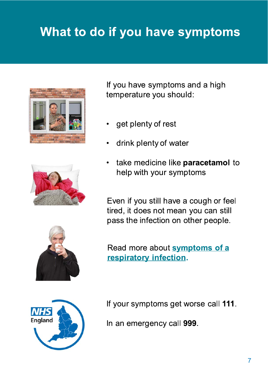## What to do if you have symptoms







If you have symptoms and a high temperature you should:

- get plenty of rest
- drink plenty of water
- take medicine like paracetamol to help with your symptoms

Even if you still have a cough or feel tired, it does not mean you can still pass the infection on other people.

Read more about symptoms of a respiratory infection.



If your symptoms get worse call 111.

In an emergency call 999.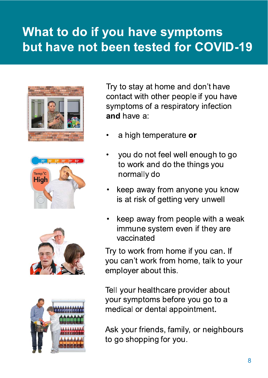### What to do if you have symptoms but have not been tested for COVID-19









Try to stay at home and don't have contact with other people if you have symptoms of a respiratory infection and have a:

- a high temperature or
- you do not feel well enough to go to work and do the things you normally do
- keep away from anyone you know is at risk of getting very unwell
- keep away from people with a weak immune system even if they are vaccinated

Try to work from home if you can. If you can't work from home, talk to your employer about this.

Tell your healthcare provider about your symptoms before you go to a medical or dental appointment.

Ask your friends, family, or neighbours to go shopping for you.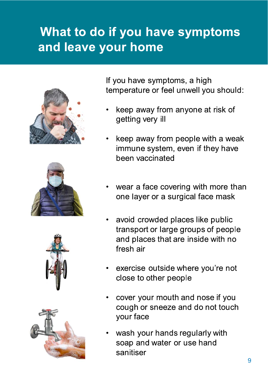## What to do if you have symptoms and leave your home









If you have symptoms, a high temperature or feel unwell you should:

- keep away from anyone at risk of getting very ill
- keep away from people with a weak immune system, even if they have been vaccinated
- wear a face covering with more than one layer or a surgical face mask
- avoid crowded places like public transport or large groups of people and places that are inside with no fresh air
- exercise outside where you're not close to other people
- cover your mouth and nose if you cough or sneeze and do not touch your face
- wash your hands regularly with soap and water or use hand sanitiser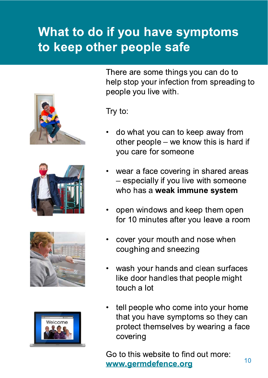### What to do if you have symptoms to keep other people safe









There are some things you can do to help stop your infection from spreading to people you live with.

Try to:

- do what you can to keep away from other people - we know this is hard if you care for someone
- wear a face covering in shared areas - especially if you live with someone who has a weak immune system
- open windows and keep them open for 10 minutes after you leave a room
- cover your mouth and nose when coughing and sneezing
- wash your hands and clean surfaces like door handles that people might touch a lot
- tell people who come into your home that you have symptoms so they can protect themselves by wearing a face covering

Go to this website to find out more: www.germdefence.org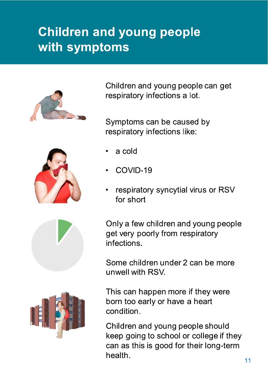## **Children and young people** with symptoms



Children and young people can get respiratory infections a lot.

Symptoms can be caused by respiratory infections like:

- a cold
- COVID-19
- respiratory syncytial virus or RSV for short

Only a few children and young people get very poorly from respiratory infections.

Some children under 2 can be more unwell with RSV.

This can happen more if they were born too early or have a heart condition.

Children and young people should keep going to school or college if they can as this is good for their long-term health.